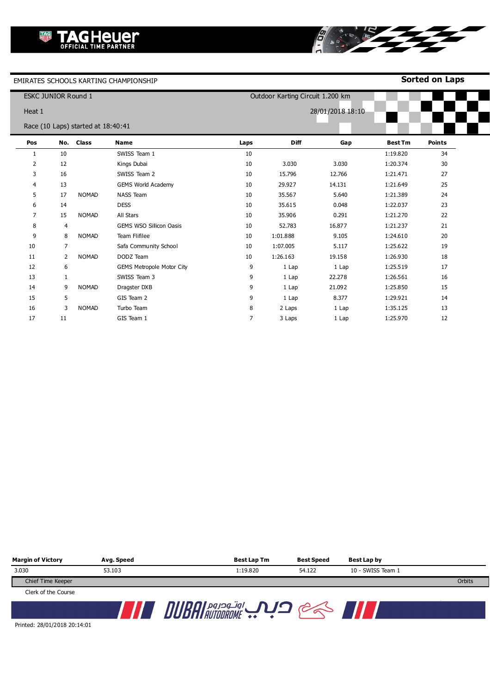**Sorted on Laps**

|        | <b>ESKC JUNIOR Round 1</b> |                                    |                                  |      | Outdoor Karting Circuit 1.200 km |                  |                |               |
|--------|----------------------------|------------------------------------|----------------------------------|------|----------------------------------|------------------|----------------|---------------|
| Heat 1 |                            |                                    |                                  |      |                                  | 28/01/2018 18:10 |                |               |
|        |                            | Race (10 Laps) started at 18:40:41 |                                  |      |                                  |                  |                |               |
| Pos    |                            | No. Class                          | <b>Name</b>                      | Laps | Diff                             | Gap              | <b>Best Tm</b> | <b>Points</b> |
| 1      | 10                         |                                    | SWISS Team 1                     | 10   |                                  |                  | 1:19.820       | 34            |
| 2      | 12                         |                                    | Kings Dubai                      | 10   | 3.030                            | 3.030            | 1:20.374       | 30            |
| 3      | 16                         |                                    | SWISS Team 2                     | 10   | 15.796                           | 12.766           | 1:21.471       | 27            |
| 4      | 13                         |                                    | <b>GEMS World Academy</b>        | 10   | 29.927                           | 14.131           | 1:21.649       | 25            |
| 5      | 17                         | <b>NOMAD</b>                       | <b>NASS Team</b>                 | 10   | 35.567                           | 5.640            | 1:21.389       | 24            |
| 6      | 14                         |                                    | <b>DESS</b>                      | 10   | 35.615                           | 0.048            | 1:22.037       | 23            |
| 7      | 15                         | <b>NOMAD</b>                       | All Stars                        | 10   | 35.906                           | 0.291            | 1:21.270       | 22            |
| 8      | $\overline{4}$             |                                    | <b>GEMS WSO Sillicon Oasis</b>   | 10   | 52.783                           | 16.877           | 1:21.237       | 21            |
| 9      | 8                          | <b>NOMAD</b>                       | Team Flifilee                    | 10   | 1:01.888                         | 9.105            | 1:24.610       | 20            |
| 10     | 7                          |                                    | Safa Community School            | 10   | 1:07.005                         | 5.117            | 1:25.622       | 19            |
| 11     | 2                          | <b>NOMAD</b>                       | DODZ Team                        | 10   | 1:26.163                         | 19.158           | 1:26.930       | 18            |
| 12     | 6                          |                                    | <b>GEMS Metropole Motor City</b> | 9    | 1 Lap                            | 1 Lap            | 1:25.519       | 17            |
| 13     | $\mathbf{1}$               |                                    | SWISS Team 3                     | 9    | 1 Lap                            | 22.278           | 1:26.561       | 16            |
| 14     | 9                          | <b>NOMAD</b>                       | Dragster DXB                     | 9    | 1 Lap                            | 21.092           | 1:25.850       | 15            |
| 15     | 5                          |                                    | GIS Team 2                       | 9    | 1 Lap                            | 8.377            | 1:29.921       | 14            |
| 16     | 3                          | <b>NOMAD</b>                       | Turbo Team                       | 8    | 2 Laps                           | 1 Lap            | 1:35.125       | 13            |
| 17     | 11                         |                                    | GIS Team 1                       | 7    | 3 Laps                           | 1 Lap            | 1:25.970       | 12            |

8

**STRY** 

| <b>Margin of Victory</b> | Avg. Speed | <b>Best Lap Tm</b> | Best Speed | Best Lap by       |        |
|--------------------------|------------|--------------------|------------|-------------------|--------|
| 3.030                    | 53.103     | 1:19.820           | 54.122     | 10 - SWISS Team 1 |        |
| Chief Time Keeper        |            |                    |            |                   | Orbits |
| Clerk of the Course      |            |                    |            |                   |        |
|                          |            |                    |            |                   |        |

Printed: 28/01/2018 20:14:01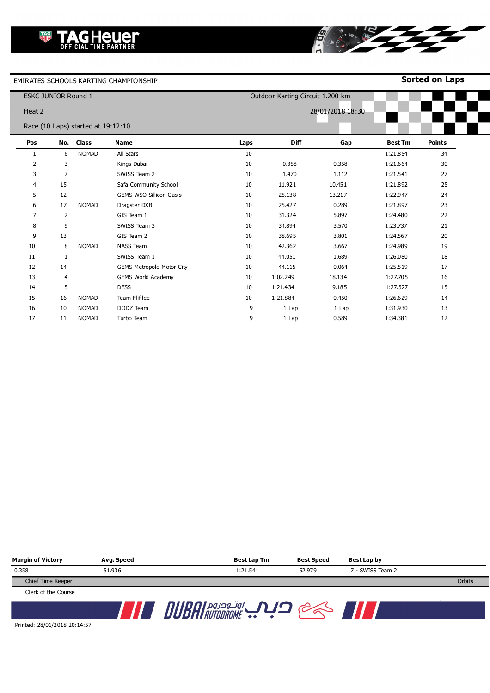**Sorted on Laps**

|        | <b>ESKC JUNIOR Round 1</b> |                                    |                                  |      | Outdoor Karting Circuit 1.200 km |                  |                |               |
|--------|----------------------------|------------------------------------|----------------------------------|------|----------------------------------|------------------|----------------|---------------|
| Heat 2 |                            |                                    |                                  |      |                                  | 28/01/2018 18:30 |                |               |
|        |                            | Race (10 Laps) started at 19:12:10 |                                  |      |                                  |                  |                |               |
| Pos    |                            | No. Class                          | <b>Name</b>                      | Laps | <b>Diff</b>                      | Gap              | <b>Best Tm</b> | <b>Points</b> |
| 1      | 6                          | <b>NOMAD</b>                       | All Stars                        | 10   |                                  |                  | 1:21.854       | 34            |
| 2      | 3                          |                                    | Kings Dubai                      | 10   | 0.358                            | 0.358            | 1:21.664       | 30            |
| 3      | 7                          |                                    | SWISS Team 2                     | 10   | 1.470                            | 1.112            | 1:21.541       | 27            |
| 4      | 15                         |                                    | Safa Community School            | 10   | 11.921                           | 10.451           | 1:21.892       | 25            |
| 5      | 12                         |                                    | <b>GEMS WSO Sillicon Oasis</b>   | 10   | 25.138                           | 13.217           | 1:22.947       | 24            |
| 6      | 17                         | <b>NOMAD</b>                       | Dragster DXB                     | 10   | 25.427                           | 0.289            | 1:21.897       | 23            |
| 7      | $\overline{2}$             |                                    | GIS Team 1                       | 10   | 31.324                           | 5.897            | 1:24.480       | 22            |
| 8      | 9                          |                                    | SWISS Team 3                     | 10   | 34.894                           | 3.570            | 1:23.737       | 21            |
| 9      | 13                         |                                    | GIS Team 2                       | 10   | 38.695                           | 3.801            | 1:24.567       | 20            |
| 10     | 8                          | <b>NOMAD</b>                       | <b>NASS Team</b>                 | 10   | 42.362                           | 3.667            | 1:24.989       | 19            |
| 11     | $\mathbf{1}$               |                                    | SWISS Team 1                     | 10   | 44.051                           | 1.689            | 1:26.080       | 18            |
| 12     | 14                         |                                    | <b>GEMS Metropole Motor City</b> | 10   | 44.115                           | 0.064            | 1:25.519       | 17            |
| 13     | 4                          |                                    | <b>GEMS World Academy</b>        | 10   | 1:02.249                         | 18.134           | 1:27.705       | 16            |
| 14     | 5                          |                                    | <b>DESS</b>                      | 10   | 1:21.434                         | 19.185           | 1:27.527       | 15            |
| 15     | 16                         | <b>NOMAD</b>                       | <b>Team Flifilee</b>             | 10   | 1:21.884                         | 0.450            | 1:26.629       | 14            |
| 16     | 10                         | <b>NOMAD</b>                       | DODZ Team                        | 9    | 1 Lap                            | 1 Lap            | 1:31.930       | 13            |
| 17     | 11                         | <b>NOMAD</b>                       | Turbo Team                       | 9    | 1 Lap                            | 0.589            | 1:34.381       | 12            |

8

RE

| <b>Margin of Victory</b> | Avg. Speed | Best Lap Tm | <b>Best Speed</b> | Best Lap by      |        |
|--------------------------|------------|-------------|-------------------|------------------|--------|
| 0.358                    | 51.936     | 1:21.541    | 52.979            | 7 - SWISS Team 2 |        |
| Chief Time Keeper        |            |             |                   |                  | Orbits |
| Clerk of the Course      |            |             |                   |                  |        |
|                          |            |             |                   |                  |        |

Printed: 28/01/2018 20:14:57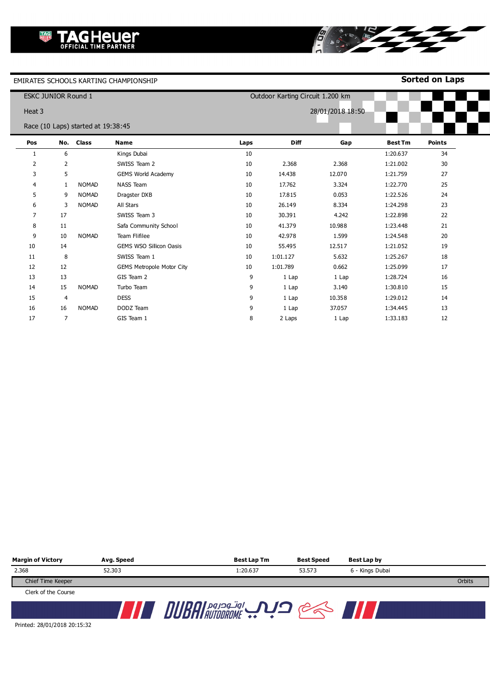**Sorted on Laps**

**CONTRACTOR** 

8

|                | <b>ESKC JUNIOR Round 1</b> |                                    |                                  |      |          | Outdoor Karting Circuit 1.200 km |                |               |
|----------------|----------------------------|------------------------------------|----------------------------------|------|----------|----------------------------------|----------------|---------------|
| Heat 3         |                            |                                    |                                  |      |          | 28/01/2018 18:50                 |                |               |
|                |                            | Race (10 Laps) started at 19:38:45 |                                  |      |          |                                  |                |               |
| Pos            |                            | No. Class                          | <b>Name</b>                      | Laps | Diff     | Gap                              | <b>Best Tm</b> | <b>Points</b> |
| 1              | 6                          |                                    | Kings Dubai                      | 10   |          |                                  | 1:20.637       | 34            |
| 2              | $\overline{2}$             |                                    | SWISS Team 2                     | 10   | 2.368    | 2.368                            | 1:21.002       | 30            |
| 3              | 5                          |                                    | <b>GEMS World Academy</b>        | 10   | 14.438   | 12.070                           | 1:21.759       | 27            |
| 4              | 1                          | <b>NOMAD</b>                       | <b>NASS Team</b>                 | 10   | 17.762   | 3.324                            | 1:22.770       | 25            |
| 5              | 9                          | <b>NOMAD</b>                       | Dragster DXB                     | 10   | 17.815   | 0.053                            | 1:22.526       | 24            |
| 6              | 3                          | <b>NOMAD</b>                       | All Stars                        | 10   | 26.149   | 8.334                            | 1:24.298       | 23            |
| $\overline{7}$ | 17                         |                                    | SWISS Team 3                     | 10   | 30.391   | 4.242                            | 1:22.898       | 22            |
| 8              | 11                         |                                    | Safa Community School            | 10   | 41.379   | 10.988                           | 1:23.448       | 21            |
| 9              | 10                         | <b>NOMAD</b>                       | <b>Team Flifilee</b>             | 10   | 42.978   | 1.599                            | 1:24.548       | 20            |
| 10             | 14                         |                                    | <b>GEMS WSO Sillicon Oasis</b>   | 10   | 55.495   | 12.517                           | 1:21.052       | 19            |
| 11             | 8                          |                                    | SWISS Team 1                     | 10   | 1:01.127 | 5.632                            | 1:25.267       | 18            |
| 12             | 12                         |                                    | <b>GEMS Metropole Motor City</b> | 10   | 1:01.789 | 0.662                            | 1:25.099       | 17            |
| 13             | 13                         |                                    | GIS Team 2                       | 9    | 1 Lap    | 1 Lap                            | 1:28.724       | 16            |
| 14             | 15                         | <b>NOMAD</b>                       | Turbo Team                       | 9    | 1 Lap    | 3.140                            | 1:30.810       | 15            |
| 15             | 4                          |                                    | <b>DESS</b>                      | 9    | 1 Lap    | 10.358                           | 1:29.012       | 14            |
| 16             | 16                         | <b>NOMAD</b>                       | DODZ Team                        | 9    | 1 Lap    | 37.057                           | 1:34.445       | 13            |
| 17             | $\overline{7}$             |                                    | GIS Team 1                       | 8    | 2 Laps   | 1 Lap                            | 1:33.183       | 12            |

| <b>Margin of Victory</b> | Avg. Speed | <b>Best Lap Tm</b> | Best Speed | Best Lap by     |        |
|--------------------------|------------|--------------------|------------|-----------------|--------|
| 2.368                    | 52,303     | 1:20.637           | 53.573     | 6 - Kings Dubai |        |
| Chief Time Keeper        |            |                    |            |                 | Orbits |
| Clerk of the Course      |            |                    |            |                 |        |
|                          |            | اوتودروم           |            |                 |        |

Printed: 28/01/2018 20:15:32